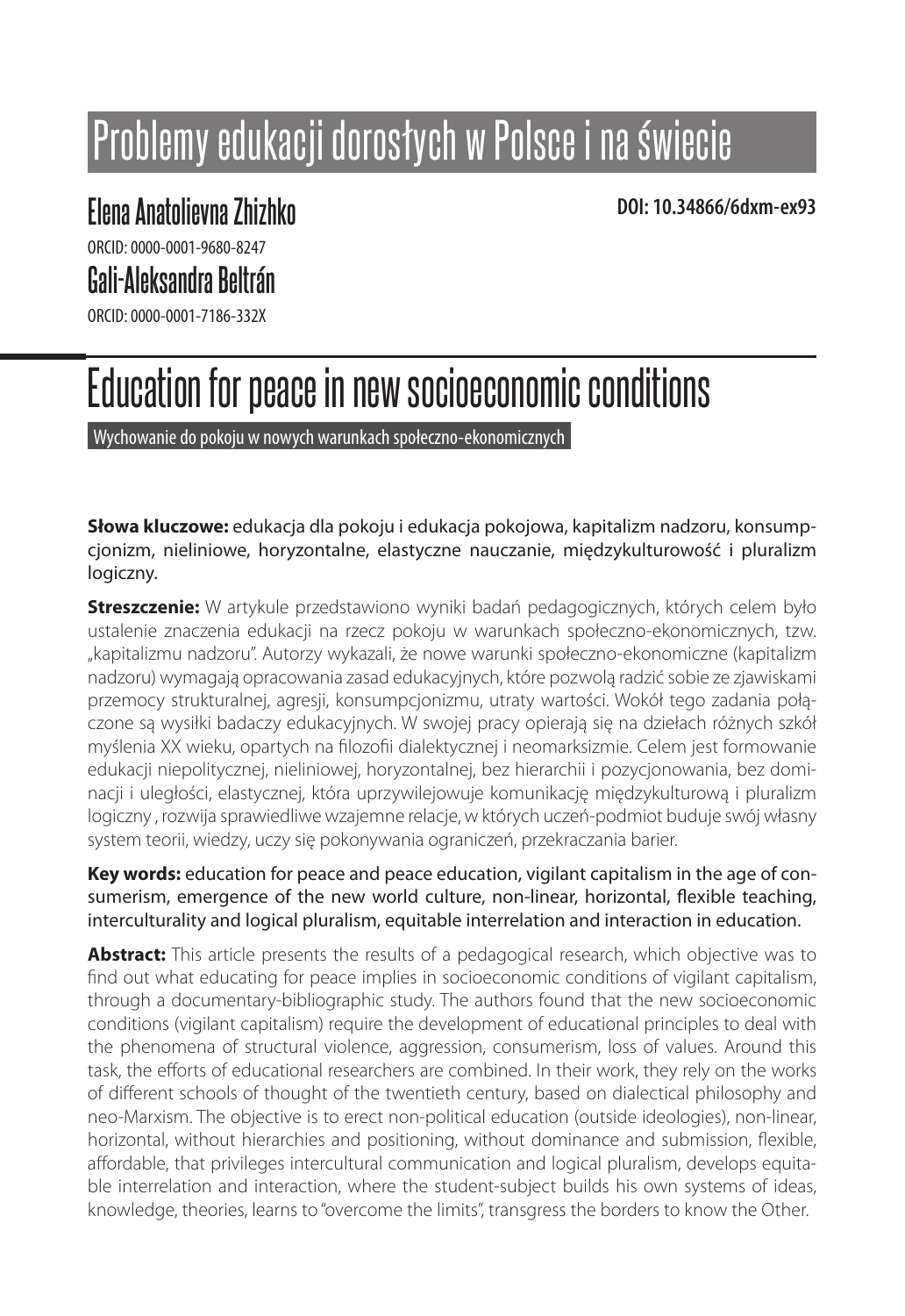# Problemy edukacji dorosłych w Polsce i na świecie

# **DOI: 10.34866/6dxm-ex93 Elena Anatolievna Zhizhko**

ORCID: 0000-0001-9680-8247

## **Gali-Aleksandra Beltrán**

ORCID: 0000-0001-7186-332X

# Education for peace in new socioeconomic conditions

Wychowanie do pokoju w nowych warunkach społeczno-ekonomicznych

**Słowa kluczowe:** edukacja dla pokoju i edukacja pokojowa, kapitalizm nadzoru, konsumpcjonizm, nieliniowe, horyzontalne, elastyczne nauczanie, międzykulturowość i pluralizm logiczny.

**Streszczenie:** W artykule przedstawiono wyniki badań pedagogicznych, których celem było ustalenie znaczenia edukacji na rzecz pokoju w warunkach społeczno-ekonomicznych, tzw. "kapitalizmu nadzoru". Autorzy wykazali, że nowe warunki społeczno-ekonomiczne (kapitalizm nadzoru) wymagają opracowania zasad edukacyjnych, które pozwolą radzić sobie ze zjawiskami przemocy strukturalnej, agresji, konsumpcjonizmu, utraty wartości. Wokół tego zadania połączone są wysiłki badaczy edukacyjnych. W swojej pracy opierają się na dziełach różnych szkół myślenia XX wieku, opartych na filozofii dialektycznej i neomarksizmie. Celem jest formowanie edukacji niepolitycznej, nieliniowej, horyzontalnej, bez hierarchii i pozycjonowania, bez dominacji i uległości, elastycznej, która uprzywilejowuje komunikację międzykulturową i pluralizm logiczny , rozwija sprawiedliwe wzajemne relacje, w których uczeń-podmiot buduje swój własny system teorii, wiedzy, uczy się pokonywania ograniczeń, przekraczania barier.

**Key words:** education for peace and peace education, vigilant capitalism in the age of consumerism, emergence of the new world culture, non-linear, horizontal, flexible teaching, interculturality and logical pluralism, equitable interrelation and interaction in education.

**Abstract:** This article presents the results of a pedagogical research, which objective was to find out what educating for peace implies in socioeconomic conditions of vigilant capitalism, through a documentary-bibliographic study. The authors found that the new socioeconomic conditions (vigilant capitalism) require the development of educational principles to deal with the phenomena of structural violence, aggression, consumerism, loss of values. Around this task, the efforts of educational researchers are combined. In their work, they rely on the works of different schools of thought of the twentieth century, based on dialectical philosophy and neo-Marxism. The objective is to erect non-political education (outside ideologies), non-linear, horizontal, without hierarchies and positioning, without dominance and submission, flexible, affordable, that privileges intercultural communication and logical pluralism, develops equitable interrelation and interaction, where the student-subject builds his own systems of ideas, knowledge, theories, learns to "overcome the limits", transgress the borders to know the Other.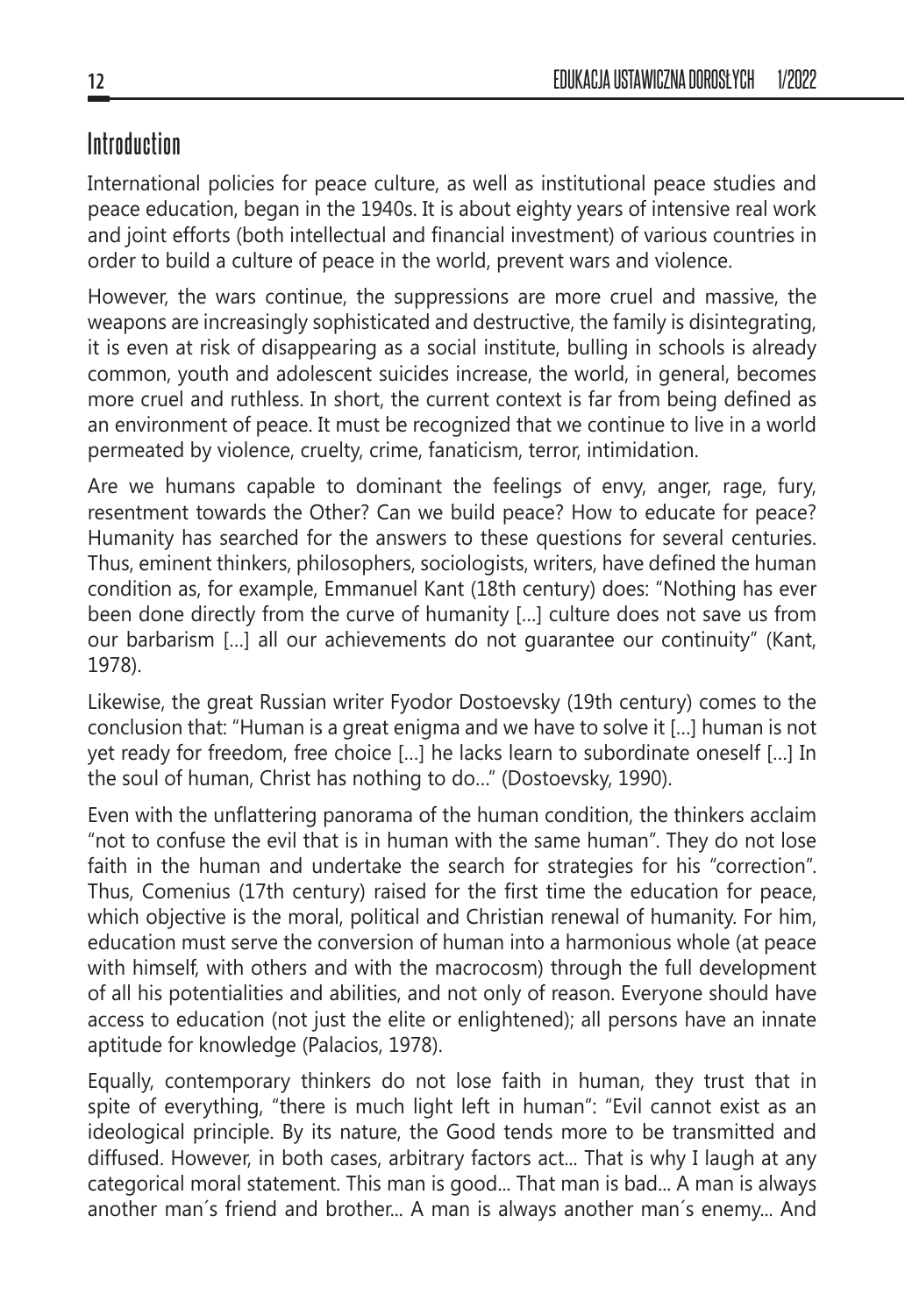## **Introduction**

International policies for peace culture, as well as institutional peace studies and peace education, began in the 1940s. It is about eighty years of intensive real work and joint efforts (both intellectual and financial investment) of various countries in order to build a culture of peace in the world, prevent wars and violence.

However, the wars continue, the suppressions are more cruel and massive, the weapons are increasingly sophisticated and destructive, the family is disintegrating, it is even at risk of disappearing as a social institute, bulling in schools is already common, youth and adolescent suicides increase, the world, in general, becomes more cruel and ruthless. In short, the current context is far from being defined as an environment of peace. It must be recognized that we continue to live in a world permeated by violence, cruelty, crime, fanaticism, terror, intimidation.

Are we humans capable to dominant the feelings of envy, anger, rage, fury, resentment towards the Other? Can we build peace? How to educate for peace? Humanity has searched for the answers to these questions for several centuries. Thus, eminent thinkers, philosophers, sociologists, writers, have defined the human condition as, for example, Emmanuel Kant (18th century) does: "Nothing has ever been done directly from the curve of humanity […] culture does not save us from our barbarism […] all our achievements do not guarantee our continuity" (Kant, 1978).

Likewise, the great Russian writer Fyodor Dostoevsky (19th century) comes to the conclusion that: "Human is a great enigma and we have to solve it […] human is not yet ready for freedom, free choice […] he lacks learn to subordinate oneself […] In the soul of human, Christ has nothing to do…" (Dostoevsky, 1990).

Even with the unflattering panorama of the human condition, the thinkers acclaim "not to confuse the evil that is in human with the same human". They do not lose faith in the human and undertake the search for strategies for his "correction". Thus, Comenius (17th century) raised for the first time the education for peace, which objective is the moral, political and Christian renewal of humanity. For him, education must serve the conversion of human into a harmonious whole (at peace with himself, with others and with the macrocosm) through the full development of all his potentialities and abilities, and not only of reason. Everyone should have access to education (not just the elite or enlightened); all persons have an innate aptitude for knowledge (Palacios, 1978).

Equally, contemporary thinkers do not lose faith in human, they trust that in spite of everything, "there is much light left in human": "Evil cannot exist as an ideological principle. By its nature, the Good tends more to be transmitted and diffused. However, in both cases, arbitrary factors act... That is why I laugh at any categorical moral statement. This man is good... That man is bad... A man is always another man´s friend and brother... A man is always another man´s enemy... And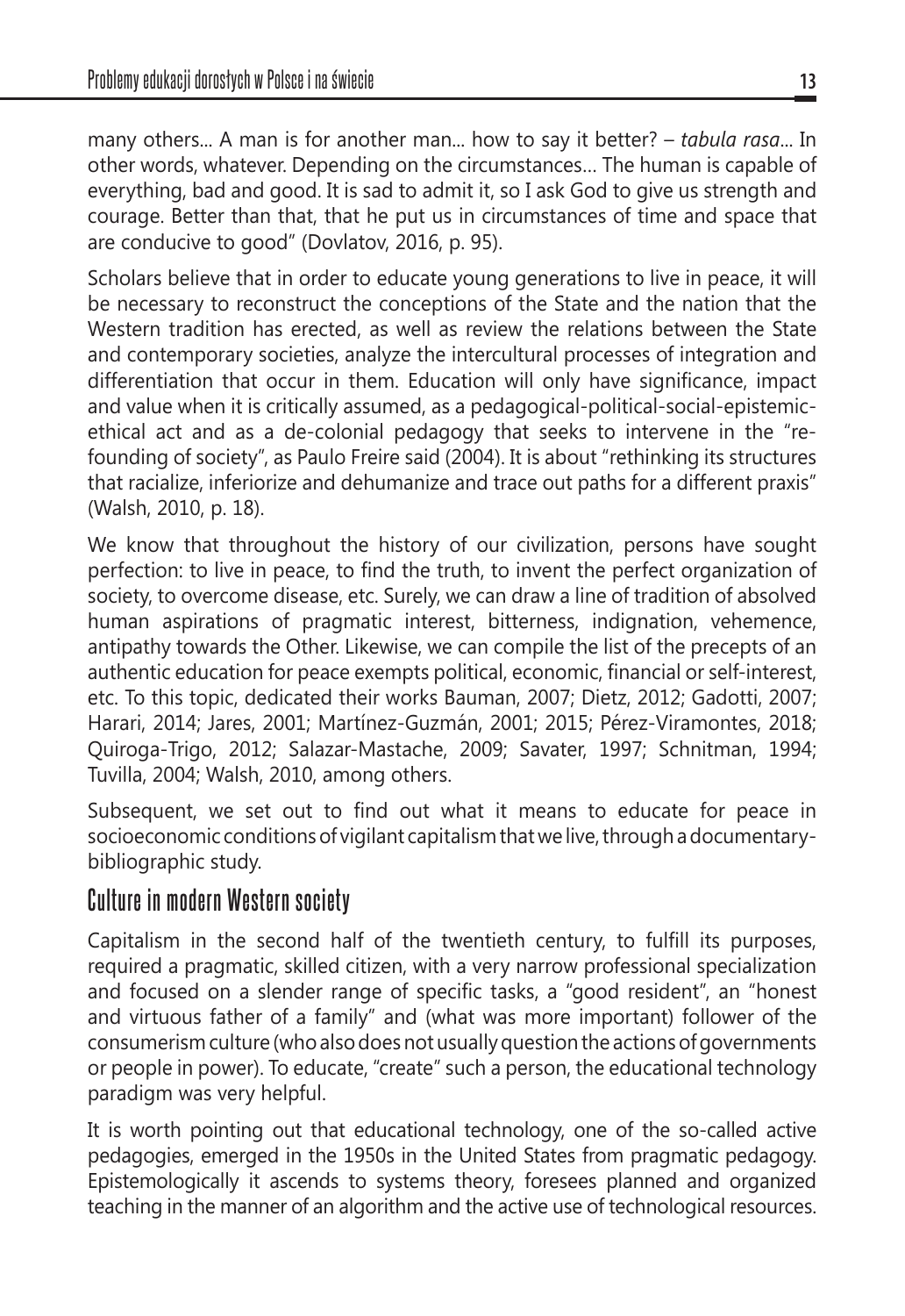many others... A man is for another man... how to say it better? – *tabula rasa*... In other words, whatever. Depending on the circumstances… The human is capable of everything, bad and good. It is sad to admit it, so I ask God to give us strength and courage. Better than that, that he put us in circumstances of time and space that are conducive to good" (Dovlatov, 2016, p. 95).

Scholars believe that in order to educate young generations to live in peace, it will be necessary to reconstruct the conceptions of the State and the nation that the Western tradition has erected, as well as review the relations between the State and contemporary societies, analyze the intercultural processes of integration and differentiation that occur in them. Education will only have significance, impact and value when it is critically assumed, as a pedagogical-political-social-epistemicethical act and as a de-colonial pedagogy that seeks to intervene in the "refounding of society", as Paulo Freire said (2004). It is about "rethinking its structures that racialize, inferiorize and dehumanize and trace out paths for a different praxis" (Walsh, 2010, p. 18).

We know that throughout the history of our civilization, persons have sought perfection: to live in peace, to find the truth, to invent the perfect organization of society, to overcome disease, etc. Surely, we can draw a line of tradition of absolved human aspirations of pragmatic interest, bitterness, indignation, vehemence, antipathy towards the Other. Likewise, we can compile the list of the precepts of an authentic education for peace exempts political, economic, financial or self-interest, etc. To this topic, dedicated their works Bauman, 2007; Dietz, 2012; Gadotti, 2007; Harari, 2014; Jares, 2001; Martínez-Guzmán, 2001; 2015; Pérez-Viramontes, 2018; Quiroga-Trigo, 2012; Salazar-Mastache, 2009; Savater, 1997; Schnitman, 1994; Tuvilla, 2004; Walsh, 2010, among others.

Subsequent, we set out to find out what it means to educate for peace in socioeconomic conditions of vigilant capitalism that we live, through a documentarybibliographic study.

### **Culture in modern Western society**

Capitalism in the second half of the twentieth century, to fulfill its purposes, required a pragmatic, skilled citizen, with a very narrow professional specialization and focused on a slender range of specific tasks, a "good resident", an "honest and virtuous father of a family" and (what was more important) follower of the consumerism culture (who also does not usually question the actions of governments or people in power). To educate, "create" such a person, the educational technology paradigm was very helpful.

It is worth pointing out that educational technology, one of the so-called active pedagogies, emerged in the 1950s in the United States from pragmatic pedagogy. Epistemologically it ascends to systems theory, foresees planned and organized teaching in the manner of an algorithm and the active use of technological resources.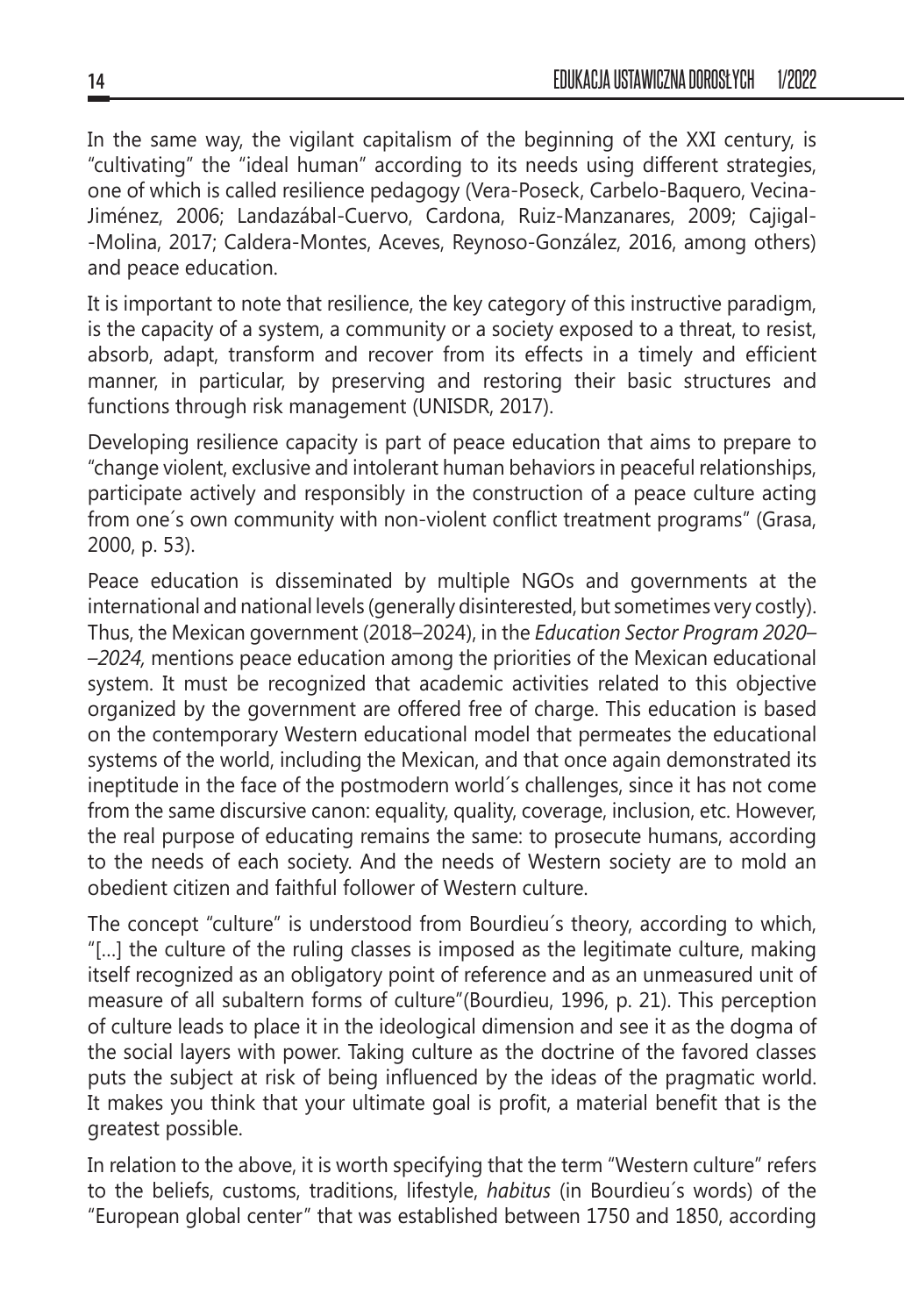In the same way, the vigilant capitalism of the beginning of the XXI century, is "cultivating" the "ideal human" according to its needs using different strategies, one of which is called resilience pedagogy (Vera-Poseck, Carbelo-Baquero, Vecina-Jiménez, 2006; Landazábal-Cuervo, Cardona, Ruiz-Manzanares, 2009; Cajigal- -Molina, 2017; Caldera-Montes, Aceves, Reynoso-González, 2016, among others) and peace education.

It is important to note that resilience, the key category of this instructive paradigm, is the capacity of a system, a community or a society exposed to a threat, to resist, absorb, adapt, transform and recover from its effects in a timely and efficient manner, in particular, by preserving and restoring their basic structures and functions through risk management (UNISDR, 2017).

Developing resilience capacity is part of peace education that aims to prepare to "change violent, exclusive and intolerant human behaviors in peaceful relationships, participate actively and responsibly in the construction of a peace culture acting from one´s own community with non-violent conflict treatment programs" (Grasa, 2000, p. 53).

Peace education is disseminated by multiple NGOs and governments at the international and national levels (generally disinterested, but sometimes very costly). Thus, the Mexican government (2018–2024), in the *Education Sector Program 2020– –2024,* mentions peace education among the priorities of the Mexican educational system. It must be recognized that academic activities related to this objective organized by the government are offered free of charge. This education is based on the contemporary Western educational model that permeates the educational systems of the world, including the Mexican, and that once again demonstrated its ineptitude in the face of the postmodern world´s challenges, since it has not come from the same discursive canon: equality, quality, coverage, inclusion, etc. However, the real purpose of educating remains the same: to prosecute humans, according to the needs of each society. And the needs of Western society are to mold an obedient citizen and faithful follower of Western culture.

The concept "culture" is understood from Bourdieu´s theory, according to which, "[…] the culture of the ruling classes is imposed as the legitimate culture, making itself recognized as an obligatory point of reference and as an unmeasured unit of measure of all subaltern forms of culture"(Bourdieu, 1996, p. 21). This perception of culture leads to place it in the ideological dimension and see it as the dogma of the social layers with power. Taking culture as the doctrine of the favored classes puts the subject at risk of being influenced by the ideas of the pragmatic world. It makes you think that your ultimate goal is profit, a material benefit that is the greatest possible.

In relation to the above, it is worth specifying that the term "Western culture" refers to the beliefs, customs, traditions, lifestyle, *habitus* (in Bourdieu´s words) of the "European global center" that was established between 1750 and 1850, according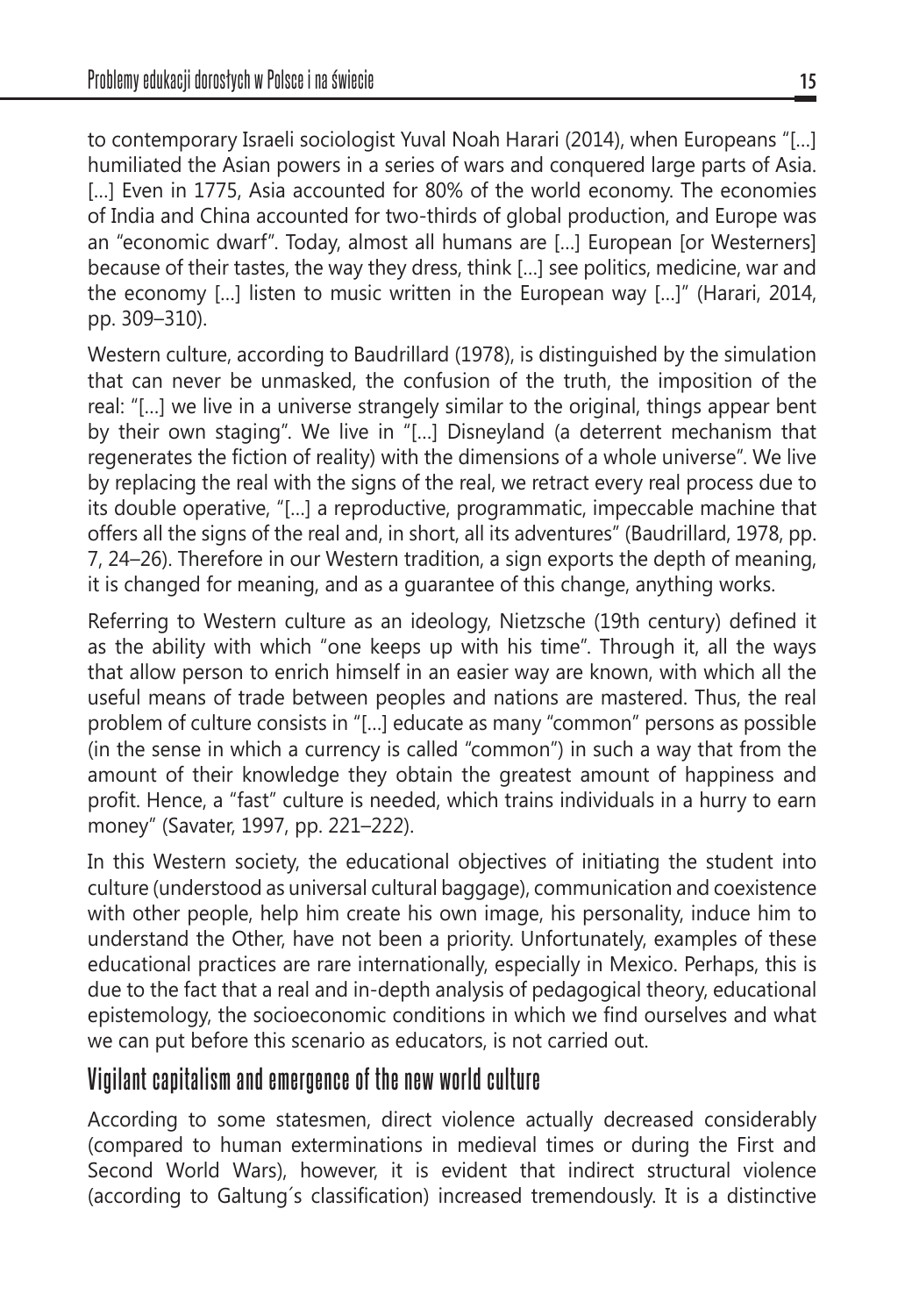to contemporary Israeli sociologist Yuval Noah Harari (2014), when Europeans "[…] humiliated the Asian powers in a series of wars and conquered large parts of Asia. [...] Even in 1775, Asia accounted for 80% of the world economy. The economies of India and China accounted for two-thirds of global production, and Europe was an "economic dwarf". Today, almost all humans are […] European [or Westerners] because of their tastes, the way they dress, think […] see politics, medicine, war and the economy […] listen to music written in the European way […]" (Harari, 2014, pp. 309–310).

Western culture, according to Baudrillard (1978), is distinguished by the simulation that can never be unmasked, the confusion of the truth, the imposition of the real: "[…] we live in a universe strangely similar to the original, things appear bent by their own staging". We live in "[…] Disneyland (a deterrent mechanism that regenerates the fiction of reality) with the dimensions of a whole universe". We live by replacing the real with the signs of the real, we retract every real process due to its double operative, "[…] a reproductive, programmatic, impeccable machine that offers all the signs of the real and, in short, all its adventures" (Baudrillard, 1978, pp. 7, 24–26). Therefore in our Western tradition, a sign exports the depth of meaning, it is changed for meaning, and as a guarantee of this change, anything works.

Referring to Western culture as an ideology, Nietzsche (19th century) defined it as the ability with which "one keeps up with his time". Through it, all the ways that allow person to enrich himself in an easier way are known, with which all the useful means of trade between peoples and nations are mastered. Thus, the real problem of culture consists in "[…] educate as many "common" persons as possible (in the sense in which a currency is called "common") in such a way that from the amount of their knowledge they obtain the greatest amount of happiness and profit. Hence, a "fast" culture is needed, which trains individuals in a hurry to earn money" (Savater, 1997, pp. 221–222).

In this Western society, the educational objectives of initiating the student into culture (understood as universal cultural baggage), communication and coexistence with other people, help him create his own image, his personality, induce him to understand the Other, have not been a priority. Unfortunately, examples of these educational practices are rare internationally, especially in Mexico. Perhaps, this is due to the fact that a real and in-depth analysis of pedagogical theory, educational epistemology, the socioeconomic conditions in which we find ourselves and what we can put before this scenario as educators, is not carried out.

#### **Vigilant capitalism and emergence of the new world culture**

According to some statesmen, direct violence actually decreased considerably (compared to human exterminations in medieval times or during the First and Second World Wars), however, it is evident that indirect structural violence (according to Galtung´s classification) increased tremendously. It is a distinctive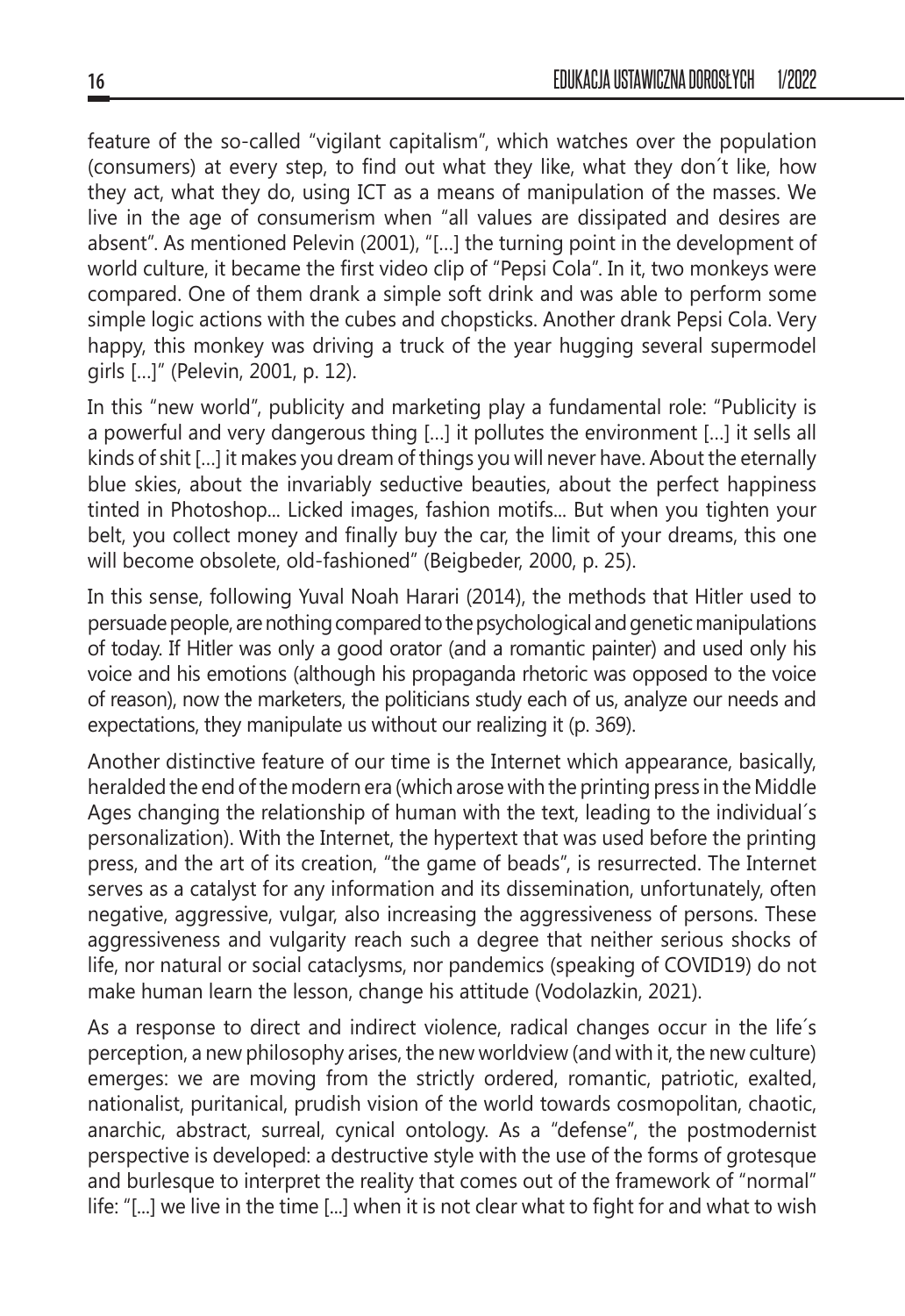feature of the so-called "vigilant capitalism", which watches over the population (consumers) at every step, to find out what they like, what they don´t like, how they act, what they do, using ICT as a means of manipulation of the masses. We live in the age of consumerism when "all values are dissipated and desires are absent". As mentioned Pelevin (2001), "[…] the turning point in the development of world culture, it became the first video clip of "Pepsi Cola". In it, two monkeys were compared. One of them drank a simple soft drink and was able to perform some simple logic actions with the cubes and chopsticks. Another drank Pepsi Cola. Very happy, this monkey was driving a truck of the year hugging several supermodel girls […]" (Pelevin, 2001, p. 12).

In this "new world", publicity and marketing play a fundamental role: "Publicity is a powerful and very dangerous thing […] it pollutes the environment […] it sells all kinds of shit […] it makes you dream of things you will never have. About the eternally blue skies, about the invariably seductive beauties, about the perfect happiness tinted in Photoshop... Licked images, fashion motifs... But when you tighten your belt, you collect money and finally buy the car, the limit of your dreams, this one will become obsolete, old-fashioned" (Beigbeder, 2000, p. 25).

In this sense, following Yuval Noah Harari (2014), the methods that Hitler used to persuade people, are nothing compared to the psychological and genetic manipulations of today. If Hitler was only a good orator (and a romantic painter) and used only his voice and his emotions (although his propaganda rhetoric was opposed to the voice of reason), now the marketers, the politicians study each of us, analyze our needs and expectations, they manipulate us without our realizing it (p. 369).

Another distinctive feature of our time is the Internet which appearance, basically, heralded the end of the modern era (which arose with the printing press in the Middle Ages changing the relationship of human with the text, leading to the individual´s personalization). With the Internet, the hypertext that was used before the printing press, and the art of its creation, "the game of beads", is resurrected. The Internet serves as a catalyst for any information and its dissemination, unfortunately, often negative, aggressive, vulgar, also increasing the aggressiveness of persons. These aggressiveness and vulgarity reach such a degree that neither serious shocks of life, nor natural or social cataclysms, nor pandemics (speaking of COVID19) do not make human learn the lesson, change his attitude (Vodolazkin, 2021).

As a response to direct and indirect violence, radical changes occur in the life´s perception, a new philosophy arises, the new worldview (and with it, the new culture) emerges: we are moving from the strictly ordered, romantic, patriotic, exalted, nationalist, puritanical, prudish vision of the world towards cosmopolitan, chaotic, anarchic, abstract, surreal, cynical ontology. As a "defense", the postmodernist perspective is developed: a destructive style with the use of the forms of grotesque and burlesque to interpret the reality that comes out of the framework of "normal" life: "[...] we live in the time [...] when it is not clear what to fight for and what to wish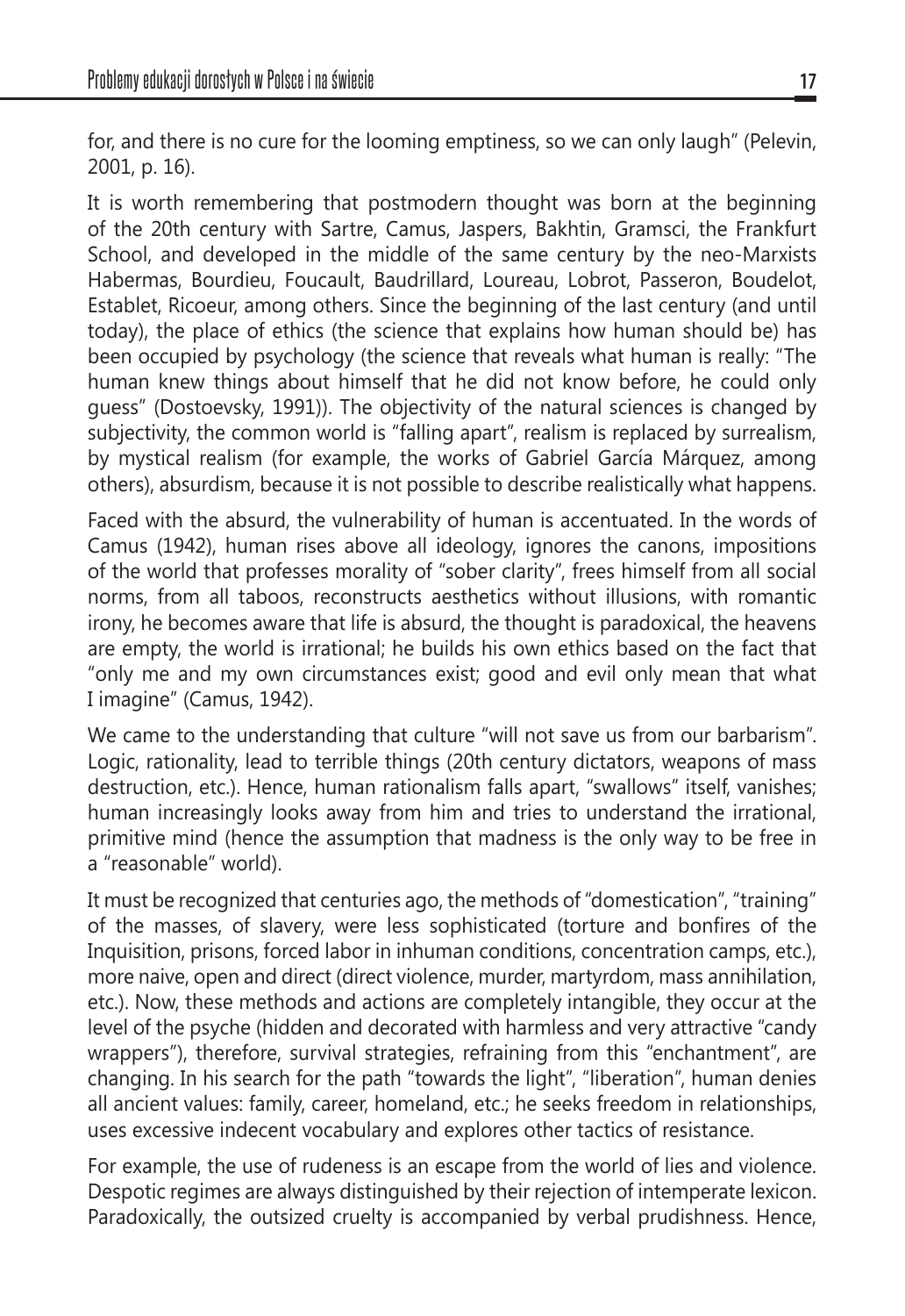for, and there is no cure for the looming emptiness, so we can only laugh" (Pelevin, 2001, p. 16).

It is worth remembering that postmodern thought was born at the beginning of the 20th century with Sartre, Camus, Jaspers, Bakhtin, Gramsci, the Frankfurt School, and developed in the middle of the same century by the neo-Marxists Habermas, Bourdieu, Foucault, Baudrillard, Loureau, Lobrot, Passeron, Boudelot, Establet, Ricoeur, among others. Since the beginning of the last century (and until today), the place of ethics (the science that explains how human should be) has been occupied by psychology (the science that reveals what human is really: "The human knew things about himself that he did not know before, he could only guess" (Dostoevsky, 1991)). The objectivity of the natural sciences is changed by subjectivity, the common world is "falling apart", realism is replaced by surrealism, by mystical realism (for example, the works of Gabriel García Márquez, among others), absurdism, because it is not possible to describe realistically what happens.

Faced with the absurd, the vulnerability of human is accentuated. In the words of Camus (1942), human rises above all ideology, ignores the canons, impositions of the world that professes morality of "sober clarity", frees himself from all social norms, from all taboos, reconstructs aesthetics without illusions, with romantic irony, he becomes aware that life is absurd, the thought is paradoxical, the heavens are empty, the world is irrational; he builds his own ethics based on the fact that "only me and my own circumstances exist; good and evil only mean that what I imagine" (Camus, 1942).

We came to the understanding that culture "will not save us from our barbarism". Logic, rationality, lead to terrible things (20th century dictators, weapons of mass destruction, etc.). Hence, human rationalism falls apart, "swallows" itself, vanishes; human increasingly looks away from him and tries to understand the irrational, primitive mind (hence the assumption that madness is the only way to be free in a "reasonable" world).

It must be recognized that centuries ago, the methods of "domestication", "training" of the masses, of slavery, were less sophisticated (torture and bonfires of the Inquisition, prisons, forced labor in inhuman conditions, concentration camps, etc.), more naive, open and direct (direct violence, murder, martyrdom, mass annihilation, etc.). Now, these methods and actions are completely intangible, they occur at the level of the psyche (hidden and decorated with harmless and very attractive "candy wrappers"), therefore, survival strategies, refraining from this "enchantment", are changing. In his search for the path "towards the light", "liberation", human denies all ancient values: family, career, homeland, etc.; he seeks freedom in relationships, uses excessive indecent vocabulary and explores other tactics of resistance.

For example, the use of rudeness is an escape from the world of lies and violence. Despotic regimes are always distinguished by their rejection of intemperate lexicon. Paradoxically, the outsized cruelty is accompanied by verbal prudishness. Hence,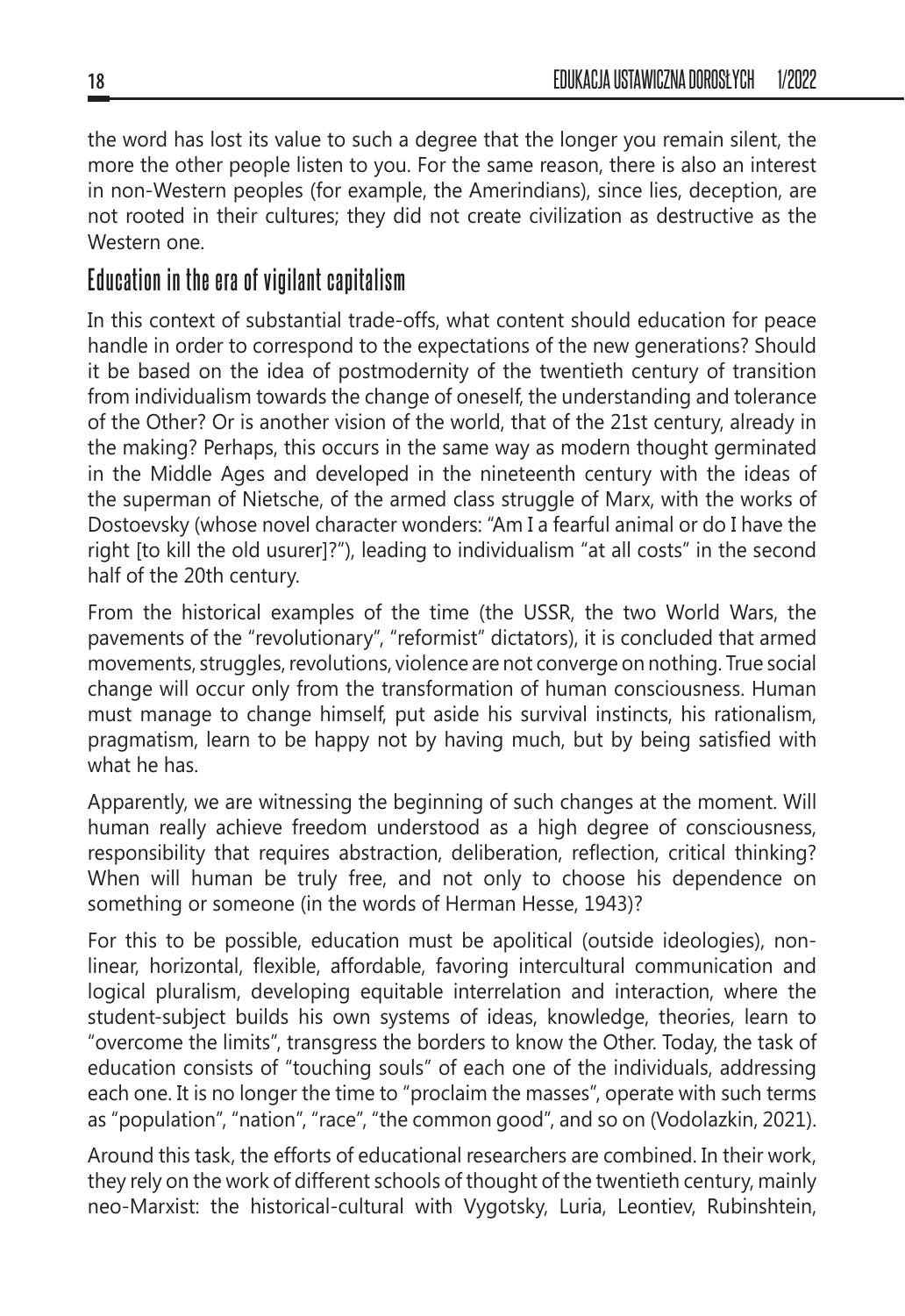the word has lost its value to such a degree that the longer you remain silent, the more the other people listen to you. For the same reason, there is also an interest in non-Western peoples (for example, the Amerindians), since lies, deception, are not rooted in their cultures; they did not create civilization as destructive as the Western one

### **Education in the era of vigilant capitalism**

In this context of substantial trade-offs, what content should education for peace handle in order to correspond to the expectations of the new generations? Should it be based on the idea of postmodernity of the twentieth century of transition from individualism towards the change of oneself, the understanding and tolerance of the Other? Or is another vision of the world, that of the 21st century, already in the making? Perhaps, this occurs in the same way as modern thought germinated in the Middle Ages and developed in the nineteenth century with the ideas of the superman of Nietsche, of the armed class struggle of Marx, with the works of Dostoevsky (whose novel character wonders: "Am I a fearful animal or do I have the right [to kill the old usurer]?"), leading to individualism "at all costs" in the second half of the 20th century.

From the historical examples of the time (the USSR, the two World Wars, the pavements of the "revolutionary", "reformist" dictators), it is concluded that armed movements, struggles, revolutions, violence are not converge on nothing. True social change will occur only from the transformation of human consciousness. Human must manage to change himself, put aside his survival instincts, his rationalism, pragmatism, learn to be happy not by having much, but by being satisfied with what he has.

Apparently, we are witnessing the beginning of such changes at the moment. Will human really achieve freedom understood as a high degree of consciousness, responsibility that requires abstraction, deliberation, reflection, critical thinking? When will human be truly free, and not only to choose his dependence on something or someone (in the words of Herman Hesse, 1943)?

For this to be possible, education must be apolitical (outside ideologies), nonlinear, horizontal, flexible, affordable, favoring intercultural communication and logical pluralism, developing equitable interrelation and interaction, where the student-subject builds his own systems of ideas, knowledge, theories, learn to "overcome the limits", transgress the borders to know the Other. Today, the task of education consists of "touching souls" of each one of the individuals, addressing each one. It is no longer the time to "proclaim the masses", operate with such terms as "population", "nation", "race", "the common good", and so on (Vodolazkin, 2021).

Around this task, the efforts of educational researchers are combined. In their work, they rely on the work of different schools of thought of the twentieth century, mainly neo-Marxist: the historical-cultural with Vygotsky, Luria, Leontiev, Rubinshtein,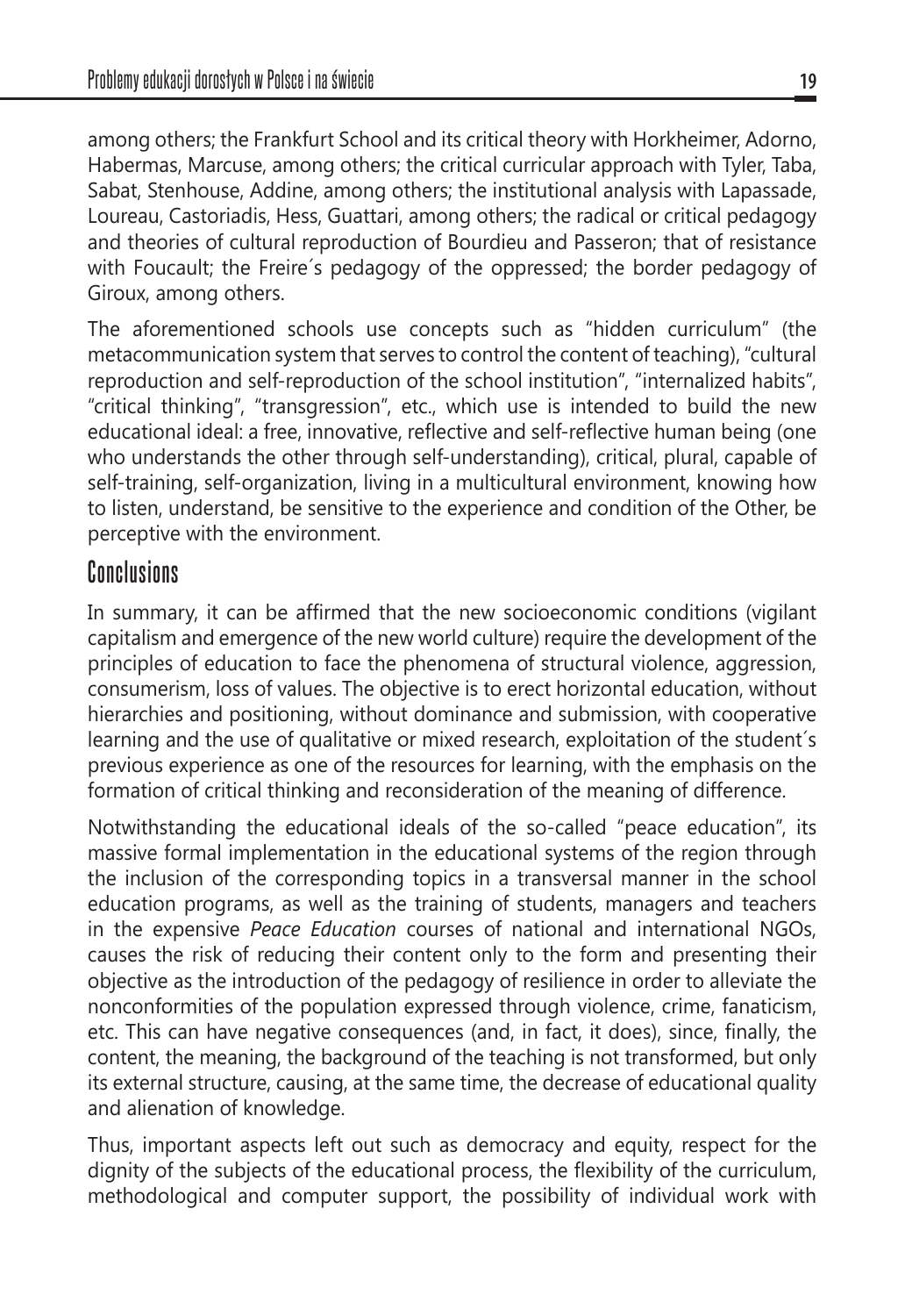among others; the Frankfurt School and its critical theory with Horkheimer, Adorno, Habermas, Marcuse, among others; the critical curricular approach with Tyler, Taba, Sabat, Stenhouse, Addine, among others; the institutional analysis with Lapassade, Loureau, Castoriadis, Hess, Guattari, among others; the radical or critical pedagogy and theories of cultural reproduction of Bourdieu and Passeron; that of resistance with Foucault; the Freire´s pedagogy of the oppressed; the border pedagogy of Giroux, among others.

The aforementioned schools use concepts such as "hidden curriculum" (the metacommunication system that serves to control the content of teaching), "cultural reproduction and self-reproduction of the school institution", "internalized habits", "critical thinking", "transgression", etc., which use is intended to build the new educational ideal: a free, innovative, reflective and self-reflective human being (one who understands the other through self-understanding), critical, plural, capable of self-training, self-organization, living in a multicultural environment, knowing how to listen, understand, be sensitive to the experience and condition of the Other, be perceptive with the environment.

#### **Conclusions**

In summary, it can be affirmed that the new socioeconomic conditions (vigilant capitalism and emergence of the new world culture) require the development of the principles of education to face the phenomena of structural violence, aggression, consumerism, loss of values. The objective is to erect horizontal education, without hierarchies and positioning, without dominance and submission, with cooperative learning and the use of qualitative or mixed research, exploitation of the student´s previous experience as one of the resources for learning, with the emphasis on the formation of critical thinking and reconsideration of the meaning of difference.

Notwithstanding the educational ideals of the so-called "peace education", its massive formal implementation in the educational systems of the region through the inclusion of the corresponding topics in a transversal manner in the school education programs, as well as the training of students, managers and teachers in the expensive *Peace Education* courses of national and international NGOs, causes the risk of reducing their content only to the form and presenting their objective as the introduction of the pedagogy of resilience in order to alleviate the nonconformities of the population expressed through violence, crime, fanaticism, etc. This can have negative consequences (and, in fact, it does), since, finally, the content, the meaning, the background of the teaching is not transformed, but only its external structure, causing, at the same time, the decrease of educational quality and alienation of knowledge.

Thus, important aspects left out such as democracy and equity, respect for the dignity of the subjects of the educational process, the flexibility of the curriculum, methodological and computer support, the possibility of individual work with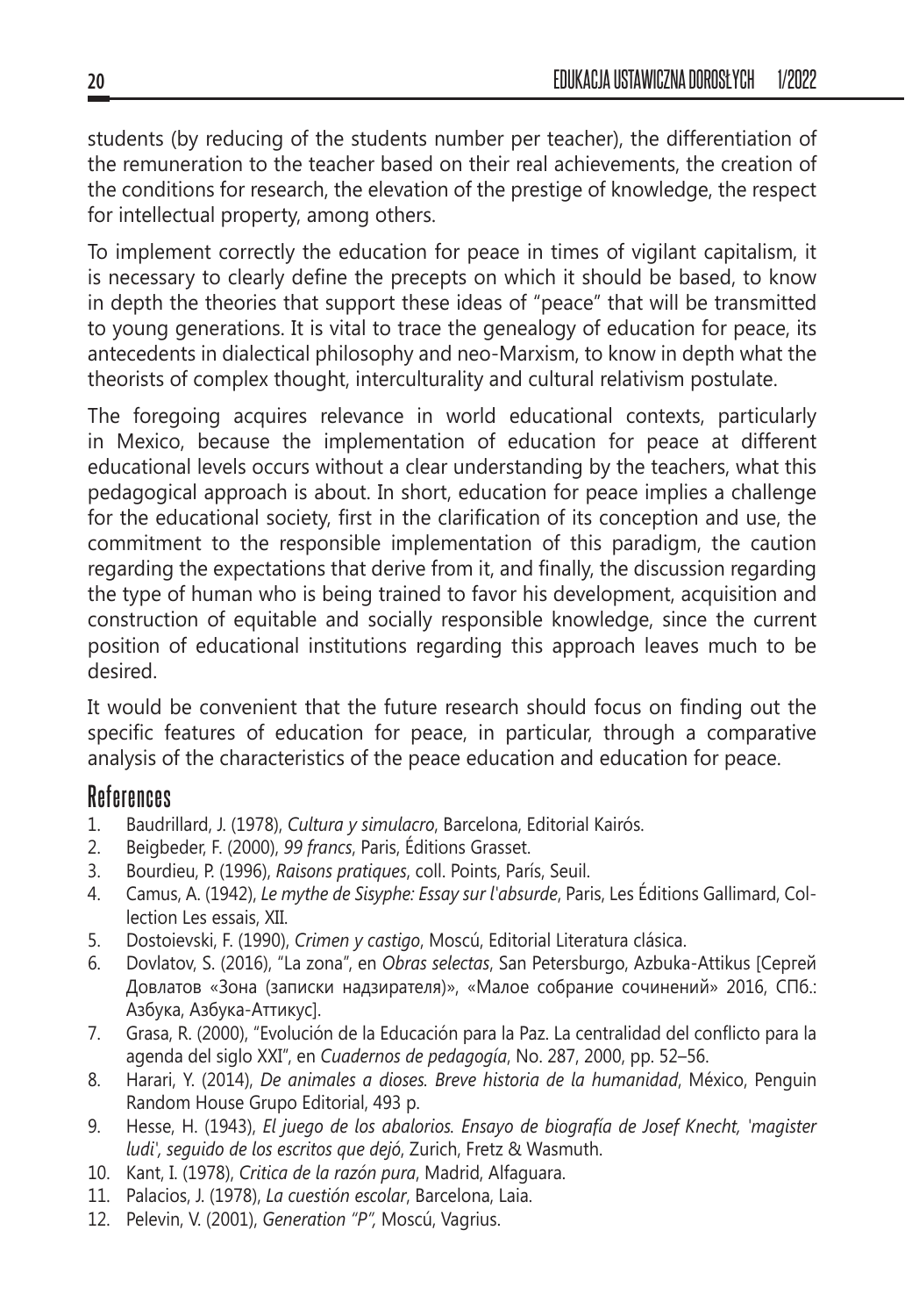students (by reducing of the students number per teacher), the differentiation of the remuneration to the teacher based on their real achievements, the creation of the conditions for research, the elevation of the prestige of knowledge, the respect for intellectual property, among others.

To implement correctly the education for peace in times of vigilant capitalism, it is necessary to clearly define the precepts on which it should be based, to know in depth the theories that support these ideas of "peace" that will be transmitted to young generations. It is vital to trace the genealogy of education for peace, its antecedents in dialectical philosophy and neo-Marxism, to know in depth what the theorists of complex thought, interculturality and cultural relativism postulate.

The foregoing acquires relevance in world educational contexts, particularly in Mexico, because the implementation of education for peace at different educational levels occurs without a clear understanding by the teachers, what this pedagogical approach is about. In short, education for peace implies a challenge for the educational society, first in the clarification of its conception and use, the commitment to the responsible implementation of this paradigm, the caution regarding the expectations that derive from it, and finally, the discussion regarding the type of human who is being trained to favor his development, acquisition and construction of equitable and socially responsible knowledge, since the current position of educational institutions regarding this approach leaves much to be desired.

It would be convenient that the future research should focus on finding out the specific features of education for peace, in particular, through a comparative analysis of the characteristics of the peace education and education for peace.

#### **References**

- 1. Baudrillard, J. (1978), *Cultura y simulacro*, Barcelona, Editorial Kairós.
- 2. Beigbeder, F. (2000), *99 francs*, Paris, Éditions Grasset.
- 3. Bourdieu, P. (1996), *Raisons pratiques*, coll. Points, París, Seuil.
- 4. Camus, A. (1942), *Le mythe de Sisyphe: Essay sur l'absurde*, Paris, Les Éditions Gallimard, Collection Les essais, XII.
- 5. Dostoievski, F. (1990), *Crimen y castigo*, Moscú, Editorial Literatura clásica.
- 6. Dovlatov, S. (2016), "La zona", en *Obras selectas*, San Petersburgo, Azbuka-Attikus [Сергей Довлатов «Зона (записки надзирателя)», «Малое собрание сочинений» 2016, СПб.: Азбука, Азбука-Аттикус].
- 7. Grasa, R. (2000), "Evolución de la Educación para la Paz. La centralidad del conflicto para la agenda del siglo XXI", en *Cuadernos de pedagogía*, No. 287, 2000, pp. 52–56.
- 8. Harari, Y. (2014), *De animales a dioses. Breve historia de la humanidad*, México, Penguin Random House Grupo Editorial, 493 p.
- 9. Hesse, H. (1943), *El juego de los abalorios. Ensayo de biografía de Josef Knecht, 'magister ludi', seguido de los escritos que dejó*, Zurich, Fretz & Wasmuth.
- 10. Kant, I. (1978), *Critica de la razón pura*, Madrid, Alfaguara.
- 11. Palacios, J. (1978), *La cuestión escolar*, Barcelona, Laia.
- 12. Pelevin, V. (2001), *Generation "P",* Moscú, Vagrius.